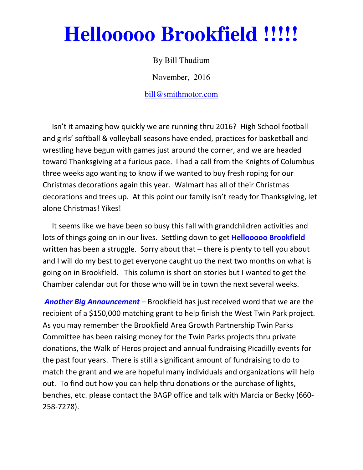# **Hellooooo Brookfield !!!!!**

By Bill Thudium

November, 2016

bill@smithmotor.com

 Isn't it amazing how quickly we are running thru 2016? High School football and girls' softball & volleyball seasons have ended, practices for basketball and wrestling have begun with games just around the corner, and we are headed toward Thanksgiving at a furious pace. I had a call from the Knights of Columbus three weeks ago wanting to know if we wanted to buy fresh roping for our Christmas decorations again this year. Walmart has all of their Christmas decorations and trees up. At this point our family isn't ready for Thanksgiving, let alone Christmas! Yikes!

 It seems like we have been so busy this fall with grandchildren activities and lots of things going on in our lives. Settling down to get **Hellooooo Brookfield** written has been a struggle. Sorry about that – there is plenty to tell you about and I will do my best to get everyone caught up the next two months on what is going on in Brookfield. This column is short on stories but I wanted to get the Chamber calendar out for those who will be in town the next several weeks.

Another Big Announcement – Brookfield has just received word that we are the recipient of a \$150,000 matching grant to help finish the West Twin Park project. As you may remember the Brookfield Area Growth Partnership Twin Parks Committee has been raising money for the Twin Parks projects thru private donations, the Walk of Heros project and annual fundraising Picadilly events for the past four years. There is still a significant amount of fundraising to do to match the grant and we are hopeful many individuals and organizations will help out. To find out how you can help thru donations or the purchase of lights, benches, etc. please contact the BAGP office and talk with Marcia or Becky (660- 258-7278).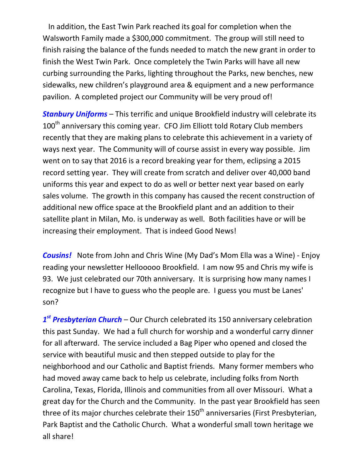In addition, the East Twin Park reached its goal for completion when the Walsworth Family made a \$300,000 commitment. The group will still need to finish raising the balance of the funds needed to match the new grant in order to finish the West Twin Park. Once completely the Twin Parks will have all new curbing surrounding the Parks, lighting throughout the Parks, new benches, new sidewalks, new children's playground area & equipment and a new performance pavilion. A completed project our Community will be very proud of!

Stanbury Uniforms - This terrific and unique Brookfield industry will celebrate its 100<sup>th</sup> anniversary this coming year. CFO Jim Elliott told Rotary Club members recently that they are making plans to celebrate this achievement in a variety of ways next year. The Community will of course assist in every way possible. Jim went on to say that 2016 is a record breaking year for them, eclipsing a 2015 record setting year. They will create from scratch and deliver over 40,000 band uniforms this year and expect to do as well or better next year based on early sales volume. The growth in this company has caused the recent construction of additional new office space at the Brookfield plant and an addition to their satellite plant in Milan, Mo. is underway as well. Both facilities have or will be increasing their employment. That is indeed Good News!

**Cousins!** Note from John and Chris Wine (My Dad's Mom Ella was a Wine) - Enjoy reading your newsletter Hellooooo Brookfield. I am now 95 and Chris my wife is 93. We just celebrated our 70th anniversary. It is surprising how many names I recognize but I have to guess who the people are. I guess you must be Lanes' son?

1<sup>st</sup> Presbyterian Church – Our Church celebrated its 150 anniversary celebration this past Sunday. We had a full church for worship and a wonderful carry dinner for all afterward. The service included a Bag Piper who opened and closed the service with beautiful music and then stepped outside to play for the neighborhood and our Catholic and Baptist friends. Many former members who had moved away came back to help us celebrate, including folks from North Carolina, Texas, Florida, Illinois and communities from all over Missouri. What a great day for the Church and the Community. In the past year Brookfield has seen three of its major churches celebrate their  $150<sup>th</sup>$  anniversaries (First Presbyterian, Park Baptist and the Catholic Church. What a wonderful small town heritage we all share!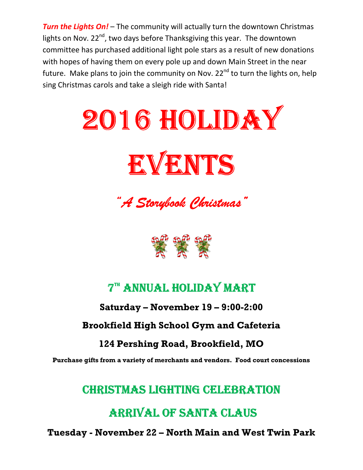**Turn the Lights On!** – The community will actually turn the downtown Christmas lights on Nov.  $22^{nd}$ , two days before Thanksgiving this year. The downtown committee has purchased additional light pole stars as a result of new donations with hopes of having them on every pole up and down Main Street in the near future. Make plans to join the community on Nov.  $22^{nd}$  to turn the lights on, help sing Christmas carols and take a sleigh ride with Santa!



"A Storybook Christmas" "A



# **7<sup>TH</sup> ANNUAL HOLIDAY MART**

### Saturday – November 19 – 9:00-2:00

### Brookfield High School Gym and Cafeteria

### 124 Pershing Road, Brookfield, MO

Purchase gifts from a variety of merchants and vendors. Food court concessions

# CHRISTMAS LIGHTING CELEBRATION

# ARRIVAL OF SANTA CLAUS

Tuesday - November 22 – North Main and West Twin Park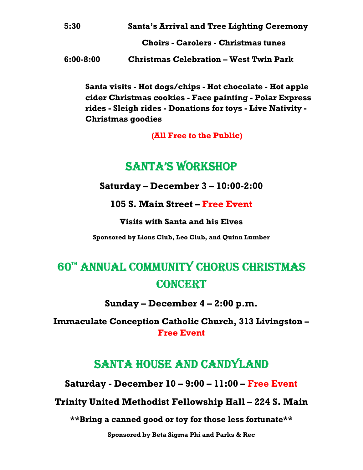| 5:30 | <b>Santa's Arrival and Tree Lighting Ceremony</b> |
|------|---------------------------------------------------|
|      | <b>Choirs - Carolers - Christmas tunes</b>        |

6:00-8:00 Christmas Celebration – West Twin Park

Santa visits - Hot dogs/chips - Hot chocolate - Hot apple cider Christmas cookies - Face painting - Polar Express rides - Sleigh rides - Donations for toys - Live Nativity - Christmas goodies

(All Free to the Public)

# SANTA'S WORKSHOP

Saturday – December 3 – 10:00-2:00

105 S. Main Street – Free Event

Visits with Santa and his Elves

Sponsored by Lions Club, Leo Club, and Quinn Lumber

# 60TH ANNUAL COMMUNITY CHORUS CHRISTMAS CONCERT

Sunday – December 4 – 2:00 p.m.

Immaculate Conception Catholic Church, 313 Livingston – Free Event

# SANTA HOUSE AND CANDYLAND

Saturday - December 10 – 9:00 – 11:00 – Free Event

Trinity United Methodist Fellowship Hall – 224 S. Main

\*\*Bring a canned good or toy for those less fortunate\*\*

Sponsored by Beta Sigma Phi and Parks & Rec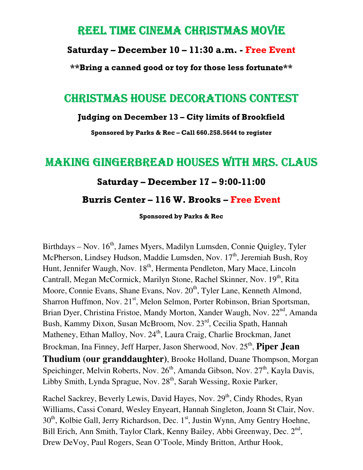### REEL TIME CINEMA CHRISTMAS MOVIE

#### Saturday – December 10 – 11:30 a.m. - Free Event

\*\*Bring a canned good or toy for those less fortunate\*\*

### CHRISTMAS HOUSE DECORATIONS CONTEST

#### Judging on December 13 – City limits of Brookfield

Sponsored by Parks & Rec – Call 660.258.5644 to register

## MAKING GINGERBREAD HOUSES WITH MRS. CLAUS

#### Saturday – December 17 – 9:00-11:00

#### Burris Center – 116 W. Brooks – Free Event

Sponsored by Parks & Rec

Birthdays – Nov.  $16<sup>th</sup>$ , James Myers, Madilyn Lumsden, Connie Quigley, Tyler McPherson, Lindsey Hudson, Maddie Lumsden, Nov. 17<sup>th</sup>, Jeremiah Bush, Roy Hunt, Jennifer Waugh, Nov. 18<sup>th</sup>, Hermenta Pendleton, Mary Mace, Lincoln Cantrall, Megan McCormick, Marilyn Stone, Rachel Skinner, Nov. 19<sup>th</sup>, Rita Moore, Connie Evans, Shane Evans, Nov. 20<sup>th</sup>, Tyler Lane, Kenneth Almond, Sharron Huffmon, Nov. 21<sup>st</sup>, Melon Selmon, Porter Robinson, Brian Sportsman, Brian Dyer, Christina Fristoe, Mandy Morton, Xander Waugh, Nov. 22<sup>nd</sup>, Amanda Bush, Kammy Dixon, Susan McBroom, Nov. 23rd, Cecilia Spath, Hannah Matheney, Ethan Malloy, Nov. 24<sup>th</sup>, Laura Craig, Charlie Brockman, Janet Brockman, Ina Finney, Jeff Harper, Jason Sherwood, Nov. 25<sup>th</sup>, Piper Jean **Thudium (our granddaughter)**, Brooke Holland, Duane Thompson, Morgan Speichinger, Melvin Roberts, Nov.  $26<sup>th</sup>$ , Amanda Gibson, Nov.  $27<sup>th</sup>$ , Kayla Davis, Libby Smith, Lynda Sprague, Nov. 28<sup>th</sup>, Sarah Wessing, Roxie Parker,

Rachel Sackrey, Beverly Lewis, David Hayes, Nov. 29<sup>th</sup>, Cindy Rhodes, Ryan Williams, Cassi Conard, Wesley Enyeart, Hannah Singleton, Joann St Clair, Nov.  $30<sup>th</sup>$ , Kolbie Gall, Jerry Richardson, Dec. 1<sup>st</sup>, Justin Wynn, Amy Gentry Hoehne, Bill Erich, Ann Smith, Taylor Clark, Kenny Bailey, Abbi Greenway, Dec. 2<sup>nd</sup>, Drew DeVoy, Paul Rogers, Sean O'Toole, Mindy Britton, Arthur Hook,